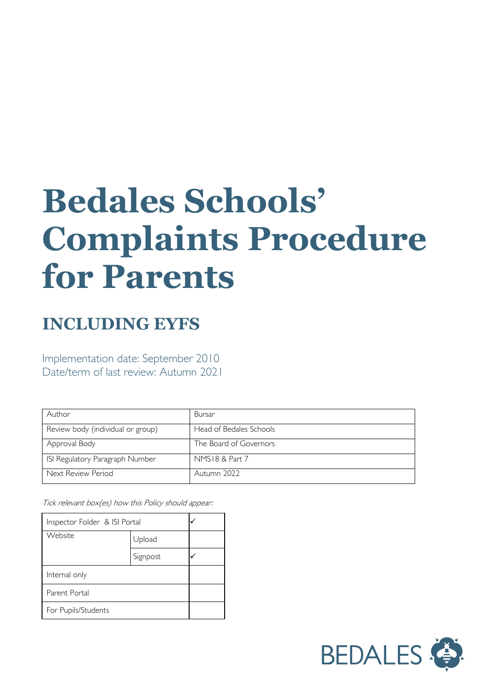# **Bedales Schools' Complaints Procedure for Parents**

## **INCLUDING EYFS**

Implementation date: September 2010 Date/term of last review: Autumn 2021

| Author                            | Bursar                  |
|-----------------------------------|-------------------------|
| Review body (individual or group) | Head of Bedales Schools |
| Approval Body                     | The Board of Governors  |
| ISI Regulatory Paragraph Number   | NMS18 & Part 7          |
| Next Review Period                | Autumn 2022             |

Tick relevant box(es) how this Policy should appear:

| Inspector Folder & ISI Portal |          |  |
|-------------------------------|----------|--|
| Website                       | Upload   |  |
|                               | Signpost |  |
| Internal only                 |          |  |
| Parent Portal                 |          |  |
| For Pupils/Students           |          |  |

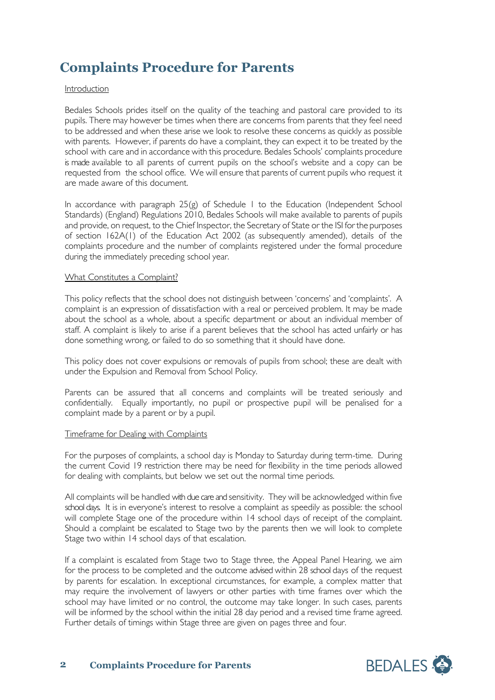### **Complaints Procedure for Parents**

#### Introduction

Bedales Schools prides itself on the quality of the teaching and pastoral care provided to its pupils. There may however be times when there are concerns from parents that they feel need to be addressed and when these arise we look to resolve these concerns as quickly as possible with parents. However, if parents do have a complaint, they can expect it to be treated by the school with care and in accordance with this procedure. Bedales Schools' complaints procedure is made available to all parents of current pupils on the school's website and a copy can be requested from the school office. We will ensure that parents of current pupils who request it are made aware of this document.

In accordance with paragraph 25(g) of Schedule 1 to the Education (Independent School Standards) (England) Regulations 2010, Bedales Schools will make available to parents of pupils and provide, on request, to the Chief Inspector, the Secretary of State or the ISI for the purposes of section 162A(1) of the Education Act 2002 (as subsequently amended), details of the complaints procedure and the number of complaints registered under the formal procedure during the immediately preceding school year.

#### What Constitutes a Complaint?

This policy reflects that the school does not distinguish between 'concerns' and 'complaints'. A complaint is an expression of dissatisfaction with a real or perceived problem. It may be made about the school as a whole, about a specific department or about an individual member of staff. A complaint is likely to arise if a parent believes that the school has acted unfairly or has done something wrong, or failed to do so something that it should have done.

This policy does not cover expulsions or removals of pupils from school; these are dealt with under the Expulsion and Removal from School Policy.

Parents can be assured that all concerns and complaints will be treated seriously and confidentially. Equally importantly, no pupil or prospective pupil will be penalised for a complaint made by a parent or by a pupil.

#### Timeframe for Dealing with Complaints

For the purposes of complaints, a school day is Monday to Saturday during term-time. During the current Covid 19 restriction there may be need for flexibility in the time periods allowed for dealing with complaints, but below we set out the normal time periods.

All complaints will be handled with due care and sensitivity. They will be acknowledged within five school days. It is in everyone's interest to resolve a complaint as speedily as possible: the school will complete Stage one of the procedure within 14 school days of receipt of the complaint. Should a complaint be escalated to Stage two by the parents then we will look to complete Stage two within 14 school days of that escalation.

If a complaint is escalated from Stage two to Stage three, the Appeal Panel Hearing, we aim for the process to be completed and the outcome advised within 28 school days of the request by parents for escalation. In exceptional circumstances, for example, a complex matter that may require the involvement of lawyers or other parties with time frames over which the school may have limited or no control, the outcome may take longer. In such cases, parents will be informed by the school within the initial 28 day period and a revised time frame agreed. Further details of timings within Stage three are given on pages three and four.

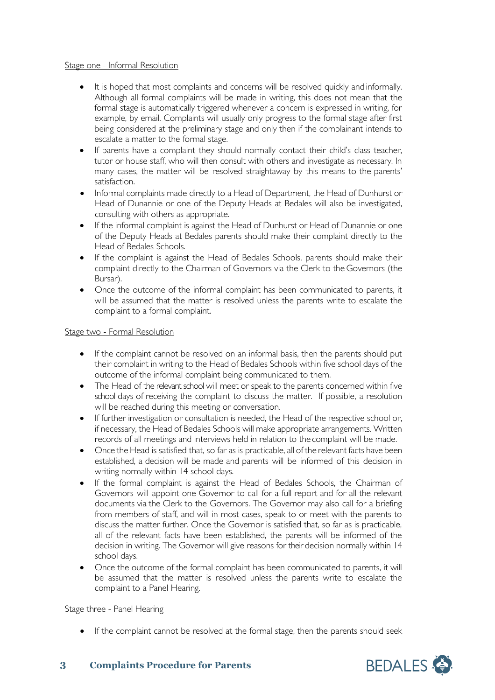#### Stage one - Informal Resolution

- It is hoped that most complaints and concerns will be resolved quickly and informally. Although all formal complaints will be made in writing, this does not mean that the formal stage is automatically triggered whenever a concern is expressed in writing, for example, by email. Complaints will usually only progress to the formal stage after first being considered at the preliminary stage and only then if the complainant intends to escalate a matter to the formal stage.
- If parents have a complaint they should normally contact their child's class teacher, tutor or house staff, who will then consult with others and investigate as necessary. In many cases, the matter will be resolved straightaway by this means to the parents' satisfaction.
- Informal complaints made directly to a Head of Department, the Head of Dunhurst or Head of Dunannie or one of the Deputy Heads at Bedales will also be investigated, consulting with others as appropriate.
- If the informal complaint is against the Head of Dunhurst or Head of Dunannie or one of the Deputy Heads at Bedales parents should make their complaint directly to the Head of Bedales Schools.
- If the complaint is against the Head of Bedales Schools, parents should make their complaint directly to the Chairman of Governors via the Clerk to the Governors (the Bursar).
- Once the outcome of the informal complaint has been communicated to parents, it will be assumed that the matter is resolved unless the parents write to escalate the complaint to a formal complaint.

#### Stage two - Formal Resolution

- If the complaint cannot be resolved on an informal basis, then the parents should put their complaint in writing to the Head of Bedales Schools within five school days of the outcome of the informal complaint being communicated to them.
- The Head of the relevant school will meet or speak to the parents concerned within five school days of receiving the complaint to discuss the matter. If possible, a resolution will be reached during this meeting or conversation.
- If further investigation or consultation is needed, the Head of the respective school or, if necessary, the Head of Bedales Schools will make appropriate arrangements. Written records of all meetings and interviews held in relation to the complaint will be made.
- Once the Head is satisfied that, so far as is practicable, all of the relevant facts have been established, a decision will be made and parents will be informed of this decision in writing normally within 14 school days.
- If the formal complaint is against the Head of Bedales Schools, the Chairman of Governors will appoint one Governor to call for a full report and for all the relevant documents via the Clerk to the Governors. The Governor may also call for a briefing from members of staff, and will in most cases, speak to or meet with the parents to discuss the matter further. Once the Governor is satisfied that, so far as is practicable, all of the relevant facts have been established, the parents will be informed of the decision in writing. The Governor will give reasons for their decision normally within 14 school days.
- Once the outcome of the formal complaint has been communicated to parents, it will be assumed that the matter is resolved unless the parents write to escalate the complaint to a Panel Hearing.

#### Stage three - Panel Hearing

• If the complaint cannot be resolved at the formal stage, then the parents should seek

#### **3 Complaints Procedure for Parents**

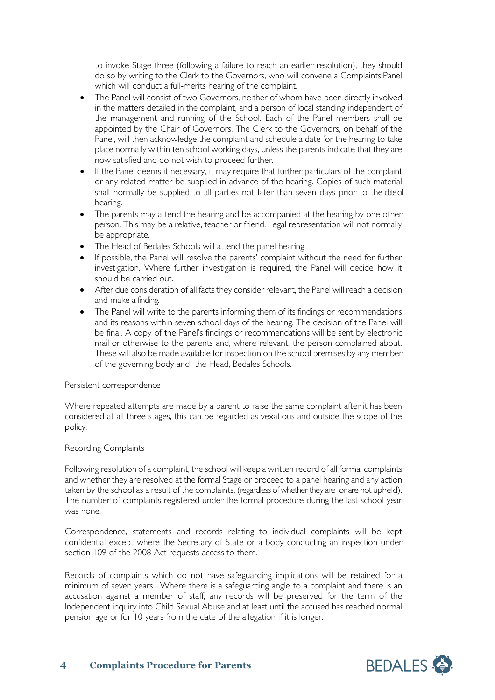to invoke Stage three (following a failure to reach an earlier resolution), they should do so by writing to the Clerk to the Governors, who will convene a Complaints Panel which will conduct a full-merits hearing of the complaint.

- The Panel will consist of two Governors, neither of whom have been directly involved in the matters detailed in the complaint, and a person of local standing independent of the management and running of the School. Each of the Panel members shall be appointed by the Chair of Governors. The Clerk to the Governors, on behalf of the Panel, will then acknowledge the complaint and schedule a date for the hearing to take place normally within ten school working days, unless the parents indicate that they are now satisfied and do not wish to proceed further.
- If the Panel deems it necessary, it may require that further particulars of the complaint or any related matter be supplied in advance of the hearing. Copies of such material shall normally be supplied to all parties not later than seven days prior to the date of hearing.
- The parents may attend the hearing and be accompanied at the hearing by one other person. This may be a relative, teacher or friend. Legal representation will not normally be appropriate.
- The Head of Bedales Schools will attend the panel hearing
- If possible, the Panel will resolve the parents' complaint without the need for further investigation. Where further investigation is required, the Panel will decide how it should be carried out.
- After due consideration of all facts they consider relevant, the Panel will reach a decision and make a finding.
- The Panel will write to the parents informing them of its findings or recommendations and its reasons within seven school days of the hearing. The decision of the Panel will be final. A copy of the Panel's findings or recommendations will be sent by electronic mail or otherwise to the parents and, where relevant, the person complained about. These will also be made available for inspection on the school premises by any member of the governing body and the Head, Bedales Schools.

#### Persistent correspondence

Where repeated attempts are made by a parent to raise the same complaint after it has been considered at all three stages, this can be regarded as vexatious and outside the scope of the policy.

#### Recording Complaints

Following resolution of a complaint, the school will keep a written record of all formal complaints and whether they are resolved at the formal Stage or proceed to a panel hearing and any action taken by the school as a result of the complaints, (regardless of whether they are or are not upheld). The number of complaints registered under the formal procedure during the last school year was none.

Correspondence, statements and records relating to individual complaints will be kept confidential except where the Secretary of State or a body conducting an inspection under section 109 of the 2008 Act requests access to them.

Records of complaints which do not have safeguarding implications will be retained for a minimum of seven years. Where there is a safeguarding angle to a complaint and there is an accusation against a member of staff, any records will be preserved for the term of the Independent inquiry into Child Sexual Abuse and at least until the accused has reached normal pension age or for 10 years from the date of the allegation if it is longer.